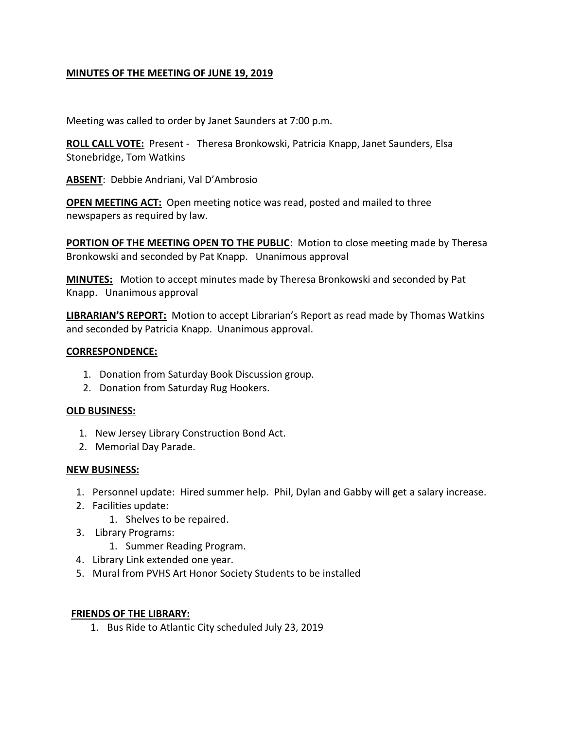# **MINUTES OF THE MEETING OF JUNE 19, 2019**

Meeting was called to order by Janet Saunders at 7:00 p.m.

**ROLL CALL VOTE:** Present - Theresa Bronkowski, Patricia Knapp, Janet Saunders, Elsa Stonebridge, Tom Watkins

**ABSENT**: Debbie Andriani, Val D'Ambrosio

**OPEN MEETING ACT:** Open meeting notice was read, posted and mailed to three newspapers as required by law.

**PORTION OF THE MEETING OPEN TO THE PUBLIC:** Motion to close meeting made by Theresa Bronkowski and seconded by Pat Knapp. Unanimous approval

**MINUTES:** Motion to accept minutes made by Theresa Bronkowski and seconded by Pat Knapp. Unanimous approval

**LIBRARIAN'S REPORT:** Motion to accept Librarian's Report as read made by Thomas Watkins and seconded by Patricia Knapp. Unanimous approval.

### **CORRESPONDENCE:**

- 1. Donation from Saturday Book Discussion group.
- 2. Donation from Saturday Rug Hookers.

#### **OLD BUSINESS:**

- 1. New Jersey Library Construction Bond Act.
- 2. Memorial Day Parade.

#### **NEW BUSINESS:**

- 1. Personnel update: Hired summer help. Phil, Dylan and Gabby will get a salary increase.
- 2. Facilities update:
	- 1. Shelves to be repaired.
- 3. Library Programs:
	- 1. Summer Reading Program.
- 4. Library Link extended one year.
- 5. Mural from PVHS Art Honor Society Students to be installed

#### **FRIENDS OF THE LIBRARY:**

1. Bus Ride to Atlantic City scheduled July 23, 2019